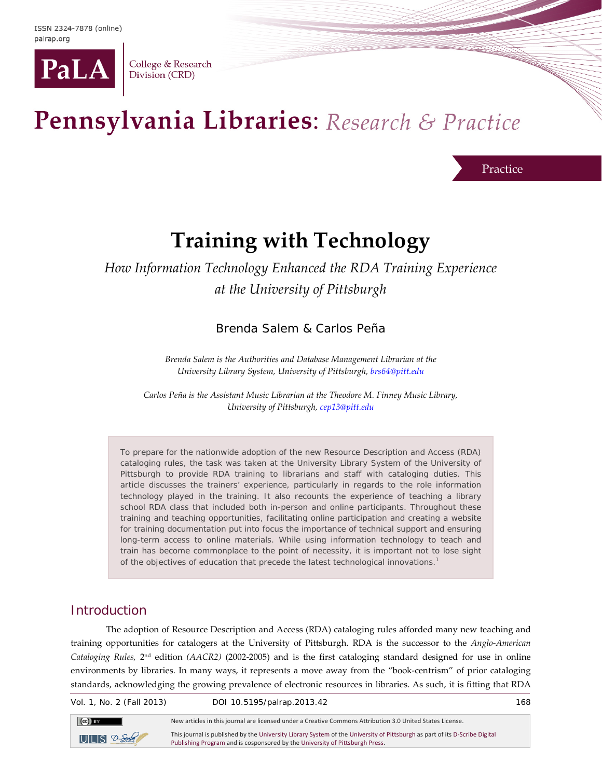

College & Research Division (CRD)

# Pennsylvania Libraries: Research & Practice

Practice

# **Training with Technology**

# *How Information Technology Enhanced the RDA Training Experience at the University of Pittsburgh*

Brenda Salem & Carlos Peña

*Brenda Salem is the Authorities and Database Management Librarian at the University Library System, University of Pittsburgh, [brs64@pitt.edu](mailto:brs64@pitt.edu)*

*Carlos Peña is the Assistant Music Librarian at the Theodore M. Finney Music Library, University of Pittsburgh, cep13@pitt.edu*

To prepare for the nationwide adoption of the new Resource Description and Access (RDA) cataloging rules, the task was taken at the University Library System of the University of Pittsburgh to provide RDA training to librarians and staff with cataloging duties. This article discusses the trainers' experience, particularly in regards to the role information technology played in the training. It also recounts the experience of teaching a library school RDA class that included both in-person and online participants. Throughout these training and teaching opportunities, facilitating online participation and creating a website for training documentation put into focus the importance of technical support and ensuring long-term access to online materials. While using information technology to teach and train has become commonplace to the point of necessity, it is important not to lose sight of the objectives of education that precede the latest technological innovations.1

# **Introduction**

The adoption of Resource Description and Access (RDA) cataloging rules afforded many new teaching and training opportunities for catalogers at the University of Pittsburgh. RDA is the successor to the *Anglo-American Cataloging Rules,* 2nd edition *(AACR2)* (2002-2005) and is the first cataloging standard designed for use in online environments by libraries. In many ways, it represents a move away from the "book-centrism" of prior cataloging standards, acknowledging the growing prevalence of electronic resources in libraries. As such, it is fitting that RDA

Vol. 1, No. 2 (Fall 2013) DOI 10.5195/palrap.2013.42 168



This journal is published by th[e University Library System](http://www.library.pitt.edu/) of th[e University of Pittsburgh](http://www.pitt.edu/) as part of it[s D-Scribe Digital](http://www.library.pitt.edu/e-journals)  [Publishing Program](http://www.library.pitt.edu/e-journals) and is cosponsored by th[e University of Pittsburgh](http://upress.pitt.edu/) Press.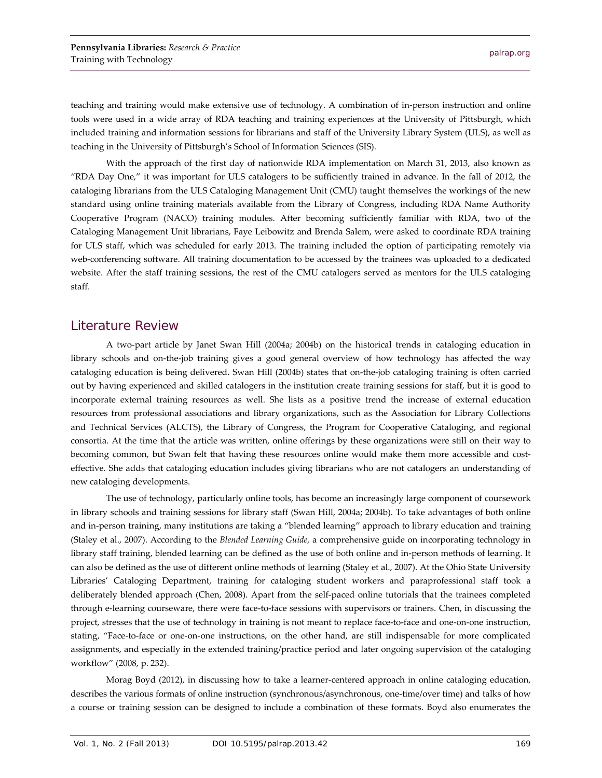teaching and training would make extensive use of technology. A combination of in-person instruction and online tools were used in a wide array of RDA teaching and training experiences at the University of Pittsburgh, which included training and information sessions for librarians and staff of the University Library System (ULS), as well as teaching in the University of Pittsburgh's School of Information Sciences (SIS).

With the approach of the first day of nationwide RDA implementation on March 31, 2013, also known as "RDA Day One," it was important for ULS catalogers to be sufficiently trained in advance. In the fall of 2012, the cataloging librarians from the ULS Cataloging Management Unit (CMU) taught themselves the workings of the new standard using online training materials available from the Library of Congress, including RDA Name Authority Cooperative Program (NACO) training modules. After becoming sufficiently familiar with RDA, two of the Cataloging Management Unit librarians, Faye Leibowitz and Brenda Salem, were asked to coordinate RDA training for ULS staff, which was scheduled for early 2013. The training included the option of participating remotely via web-conferencing software. All training documentation to be accessed by the trainees was uploaded to a dedicated website. After the staff training sessions, the rest of the CMU catalogers served as mentors for the ULS cataloging staff.

### Literature Review

A two-part article by Janet Swan Hill (2004a; 2004b) on the historical trends in cataloging education in library schools and on-the-job training gives a good general overview of how technology has affected the way cataloging education is being delivered. Swan Hill (2004b) states that on-the-job cataloging training is often carried out by having experienced and skilled catalogers in the institution create training sessions for staff, but it is good to incorporate external training resources as well. She lists as a positive trend the increase of external education resources from professional associations and library organizations, such as the Association for Library Collections and Technical Services (ALCTS), the Library of Congress, the Program for Cooperative Cataloging, and regional consortia. At the time that the article was written, online offerings by these organizations were still on their way to becoming common, but Swan felt that having these resources online would make them more accessible and costeffective. She adds that cataloging education includes giving librarians who are not catalogers an understanding of new cataloging developments.

The use of technology, particularly online tools, has become an increasingly large component of coursework in library schools and training sessions for library staff (Swan Hill, 2004a; 2004b). To take advantages of both online and in-person training, many institutions are taking a "blended learning" approach to library education and training (Staley et al., 2007). According to the *Blended Learning Guide,* a comprehensive guide on incorporating technology in library staff training, blended learning can be defined as the use of both online and in-person methods of learning. It can also be defined as the use of different online methods of learning (Staley et al., 2007). At the Ohio State University Libraries' Cataloging Department, training for cataloging student workers and paraprofessional staff took a deliberately blended approach (Chen, 2008). Apart from the self-paced online tutorials that the trainees completed through e-learning courseware, there were face-to-face sessions with supervisors or trainers. Chen, in discussing the project, stresses that the use of technology in training is not meant to replace face-to-face and one-on-one instruction, stating, "Face-to-face or one-on-one instructions, on the other hand, are still indispensable for more complicated assignments, and especially in the extended training/practice period and later ongoing supervision of the cataloging workflow" (2008, p. 232).

Morag Boyd (2012), in discussing how to take a learner-centered approach in online cataloging education, describes the various formats of online instruction (synchronous/asynchronous, one-time/over time) and talks of how a course or training session can be designed to include a combination of these formats. Boyd also enumerates the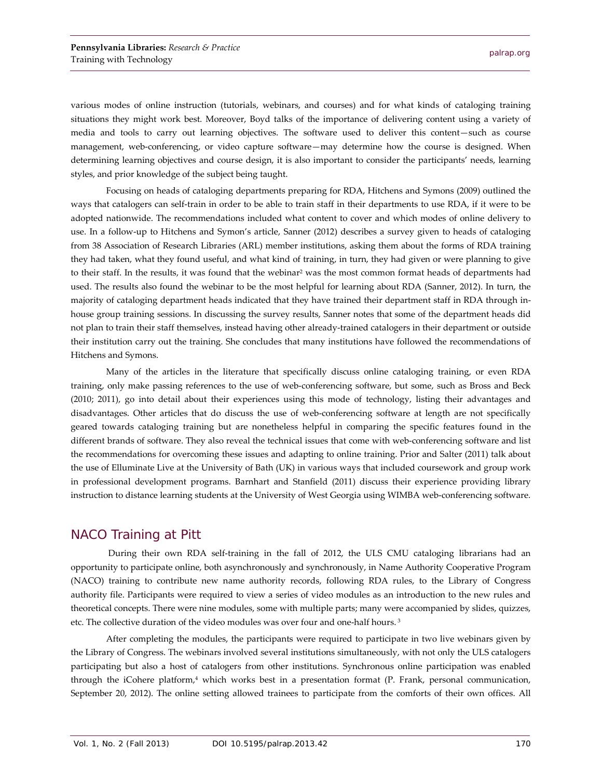various modes of online instruction (tutorials, webinars, and courses) and for what kinds of cataloging training situations they might work best. Moreover, Boyd talks of the importance of delivering content using a variety of media and tools to carry out learning objectives. The software used to deliver this content—such as course management, web-conferencing, or video capture software—may determine how the course is designed. When determining learning objectives and course design, it is also important to consider the participants' needs, learning styles, and prior knowledge of the subject being taught.

Focusing on heads of cataloging departments preparing for RDA, Hitchens and Symons (2009) outlined the ways that catalogers can self-train in order to be able to train staff in their departments to use RDA, if it were to be adopted nationwide. The recommendations included what content to cover and which modes of online delivery to use. In a follow-up to Hitchens and Symon's article, Sanner (2012) describes a survey given to heads of cataloging from 38 Association of Research Libraries (ARL) member institutions, asking them about the forms of RDA training they had taken, what they found useful, and what kind of training, in turn, they had given or were planning to give to their staff. In the results, it was found that the webinar<sup>2</sup> was the most common format heads of departments had used. The results also found the webinar to be the most helpful for learning about RDA (Sanner, 2012). In turn, the majority of cataloging department heads indicated that they have trained their department staff in RDA through inhouse group training sessions. In discussing the survey results, Sanner notes that some of the department heads did not plan to train their staff themselves, instead having other already-trained catalogers in their department or outside their institution carry out the training. She concludes that many institutions have followed the recommendations of Hitchens and Symons.

Many of the articles in the literature that specifically discuss online cataloging training, or even RDA training, only make passing references to the use of web-conferencing software, but some, such as Bross and Beck (2010; 2011), go into detail about their experiences using this mode of technology, listing their advantages and disadvantages. Other articles that do discuss the use of web-conferencing software at length are not specifically geared towards cataloging training but are nonetheless helpful in comparing the specific features found in the different brands of software. They also reveal the technical issues that come with web-conferencing software and list the recommendations for overcoming these issues and adapting to online training. Prior and Salter (2011) talk about the use of Elluminate Live at the University of Bath (UK) in various ways that included coursework and group work in professional development programs. Barnhart and Stanfield (2011) discuss their experience providing library instruction to distance learning students at the University of West Georgia using WIMBA web-conferencing software.

#### NACO Training at Pitt

During their own RDA self-training in the fall of 2012, the ULS CMU cataloging librarians had an opportunity to participate online, both asynchronously and synchronously, in Name Authority Cooperative Program (NACO) training to contribute new name authority records, following RDA rules, to the Library of Congress authority file. Participants were required to view a series of video modules as an introduction to the new rules and theoretical concepts. There were nine modules, some with multiple parts; many were accompanied by slides, quizzes, etc. The collective duration of the video modules was over four and one-half hours. <sup>3</sup>

After completing the modules, the participants were required to participate in two live webinars given by the Library of Congress. The webinars involved several institutions simultaneously, with not only the ULS catalogers participating but also a host of catalogers from other institutions. Synchronous online participation was enabled through the iCohere platform,<sup>4</sup> which works best in a presentation format (P. Frank, personal communication, September 20, 2012). The online setting allowed trainees to participate from the comforts of their own offices. All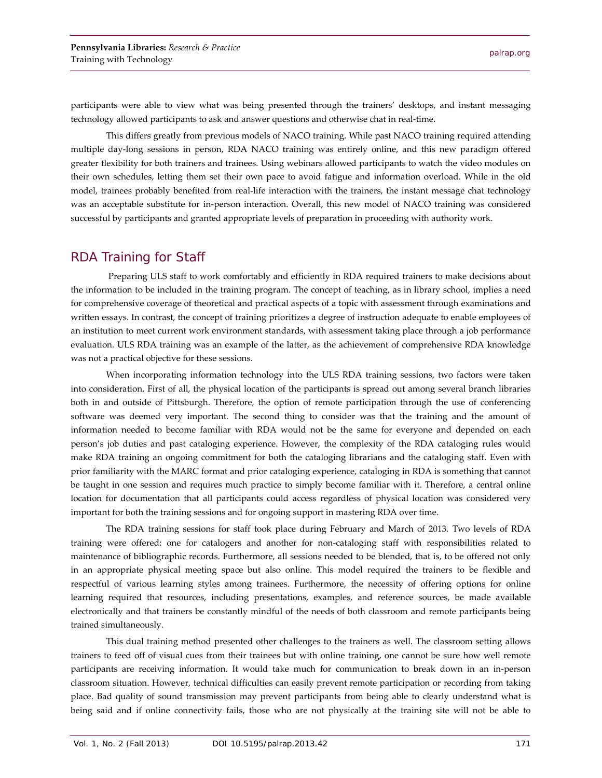participants were able to view what was being presented through the trainers' desktops, and instant messaging technology allowed participants to ask and answer questions and otherwise chat in real-time.

This differs greatly from previous models of NACO training. While past NACO training required attending multiple day-long sessions in person, RDA NACO training was entirely online, and this new paradigm offered greater flexibility for both trainers and trainees. Using webinars allowed participants to watch the video modules on their own schedules, letting them set their own pace to avoid fatigue and information overload. While in the old model, trainees probably benefited from real-life interaction with the trainers, the instant message chat technology was an acceptable substitute for in-person interaction. Overall, this new model of NACO training was considered successful by participants and granted appropriate levels of preparation in proceeding with authority work.

#### RDA Training for Staff

Preparing ULS staff to work comfortably and efficiently in RDA required trainers to make decisions about the information to be included in the training program. The concept of teaching, as in library school, implies a need for comprehensive coverage of theoretical and practical aspects of a topic with assessment through examinations and written essays. In contrast, the concept of training prioritizes a degree of instruction adequate to enable employees of an institution to meet current work environment standards, with assessment taking place through a job performance evaluation. ULS RDA training was an example of the latter, as the achievement of comprehensive RDA knowledge was not a practical objective for these sessions.

When incorporating information technology into the ULS RDA training sessions, two factors were taken into consideration. First of all, the physical location of the participants is spread out among several branch libraries both in and outside of Pittsburgh. Therefore, the option of remote participation through the use of conferencing software was deemed very important. The second thing to consider was that the training and the amount of information needed to become familiar with RDA would not be the same for everyone and depended on each person's job duties and past cataloging experience. However, the complexity of the RDA cataloging rules would make RDA training an ongoing commitment for both the cataloging librarians and the cataloging staff. Even with prior familiarity with the MARC format and prior cataloging experience, cataloging in RDA is something that cannot be taught in one session and requires much practice to simply become familiar with it. Therefore, a central online location for documentation that all participants could access regardless of physical location was considered very important for both the training sessions and for ongoing support in mastering RDA over time.

The RDA training sessions for staff took place during February and March of 2013. Two levels of RDA training were offered: one for catalogers and another for non-cataloging staff with responsibilities related to maintenance of bibliographic records. Furthermore, all sessions needed to be blended, that is, to be offered not only in an appropriate physical meeting space but also online. This model required the trainers to be flexible and respectful of various learning styles among trainees. Furthermore, the necessity of offering options for online learning required that resources, including presentations, examples, and reference sources, be made available electronically and that trainers be constantly mindful of the needs of both classroom and remote participants being trained simultaneously.

This dual training method presented other challenges to the trainers as well. The classroom setting allows trainers to feed off of visual cues from their trainees but with online training, one cannot be sure how well remote participants are receiving information. It would take much for communication to break down in an in-person classroom situation. However, technical difficulties can easily prevent remote participation or recording from taking place. Bad quality of sound transmission may prevent participants from being able to clearly understand what is being said and if online connectivity fails, those who are not physically at the training site will not be able to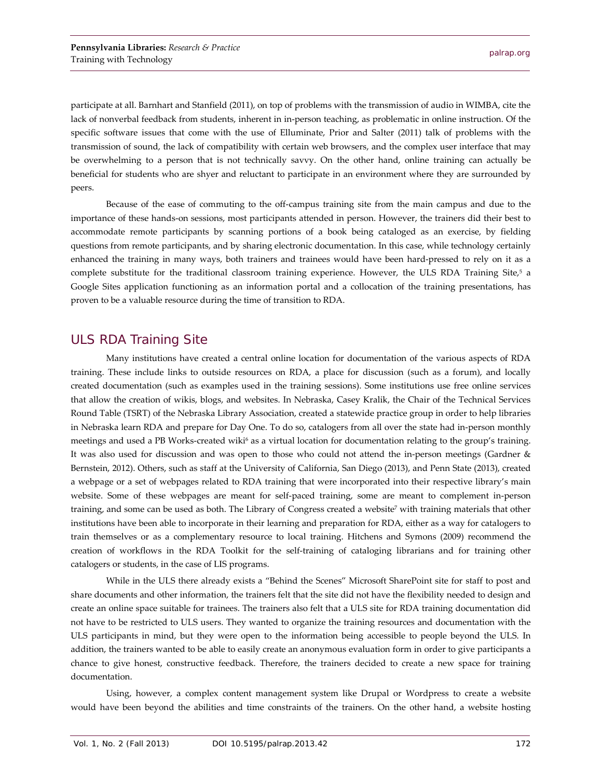participate at all. Barnhart and Stanfield (2011), on top of problems with the transmission of audio in WIMBA, cite the lack of nonverbal feedback from students, inherent in in-person teaching, as problematic in online instruction. Of the specific software issues that come with the use of Elluminate, Prior and Salter (2011) talk of problems with the transmission of sound, the lack of compatibility with certain web browsers, and the complex user interface that may be overwhelming to a person that is not technically savvy. On the other hand, online training can actually be beneficial for students who are shyer and reluctant to participate in an environment where they are surrounded by peers.

Because of the ease of commuting to the off-campus training site from the main campus and due to the importance of these hands-on sessions, most participants attended in person. However, the trainers did their best to accommodate remote participants by scanning portions of a book being cataloged as an exercise, by fielding questions from remote participants, and by sharing electronic documentation. In this case, while technology certainly enhanced the training in many ways, both trainers and trainees would have been hard-pressed to rely on it as a complete substitute for the traditional classroom training experience. However, the ULS RDA Training Site,<sup>5</sup> a Google Sites application functioning as an information portal and a collocation of the training presentations, has proven to be a valuable resource during the time of transition to RDA.

### ULS RDA Training Site

Many institutions have created a central online location for documentation of the various aspects of RDA training. These include links to outside resources on RDA, a place for discussion (such as a forum), and locally created documentation (such as examples used in the training sessions). Some institutions use free online services that allow the creation of wikis, blogs, and websites. In Nebraska, Casey Kralik, the Chair of the Technical Services Round Table (TSRT) of the Nebraska Library Association, created a statewide practice group in order to help libraries in Nebraska learn RDA and prepare for Day One. To do so, catalogers from all over the state had in-person monthly meetings and used a PB Works-created wiki<sup>6</sup> as a virtual location for documentation relating to the group's training. It was also used for discussion and was open to those who could not attend the in-person meetings (Gardner & Bernstein, 2012). Others, such as staff at the University of California, San Diego (2013), and Penn State (2013), created a webpage or a set of webpages related to RDA training that were incorporated into their respective library's main website. Some of these webpages are meant for self-paced training, some are meant to complement in-person training, and some can be used as both. The Library of Congress created a website<sup>7</sup> with training materials that other institutions have been able to incorporate in their learning and preparation for RDA, either as a way for catalogers to train themselves or as a complementary resource to local training. Hitchens and Symons (2009) recommend the creation of workflows in the RDA Toolkit for the self-training of cataloging librarians and for training other catalogers or students, in the case of LIS programs.

While in the ULS there already exists a "Behind the Scenes" Microsoft SharePoint site for staff to post and share documents and other information, the trainers felt that the site did not have the flexibility needed to design and create an online space suitable for trainees. The trainers also felt that a ULS site for RDA training documentation did not have to be restricted to ULS users. They wanted to organize the training resources and documentation with the ULS participants in mind, but they were open to the information being accessible to people beyond the ULS. In addition, the trainers wanted to be able to easily create an anonymous evaluation form in order to give participants a chance to give honest, constructive feedback. Therefore, the trainers decided to create a new space for training documentation.

Using, however, a complex content management system like Drupal or Wordpress to create a website would have been beyond the abilities and time constraints of the trainers. On the other hand, a website hosting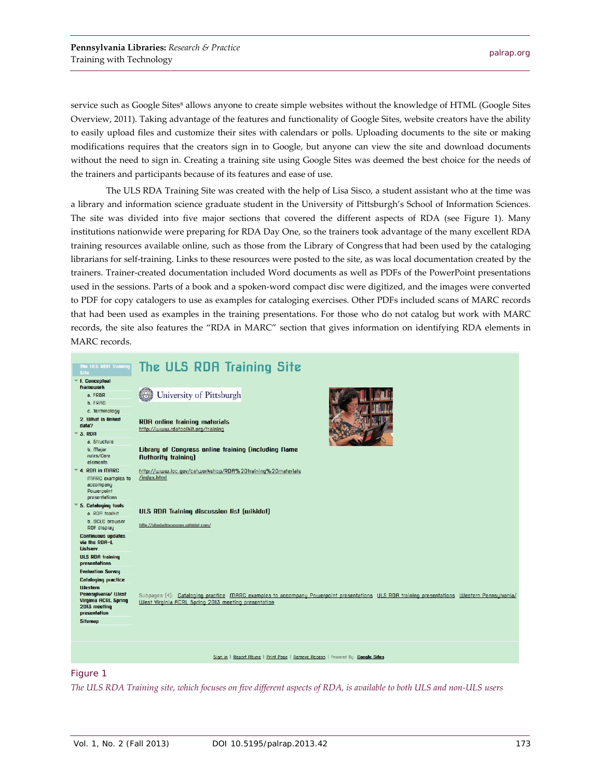service such as Google Sites<sup>8</sup> allows anyone to create simple websites without the knowledge of HTML (Google Sites Overview, 2011). Taking advantage of the features and functionality of Google Sites, website creators have the ability to easily upload files and customize their sites with calendars or polls. Uploading documents to the site or making modifications requires that the creators sign in to Google, but anyone can view the site and download documents without the need to sign in. Creating a training site using Google Sites was deemed the best choice for the needs of the trainers and participants because of its features and ease of use.

The ULS RDA Training Site was created with the help of Lisa Sisco, a student assistant who at the time was a library and information science graduate student in the University of Pittsburgh's School of Information Sciences. The site was divided into five major sections that covered the different aspects of RDA (see Figure 1). Many institutions nationwide were preparing for RDA Day One, so the trainers took advantage of the many excellent RDA training resources available online, such as those from the Library of Congress that had been used by the cataloging librarians for self-training. Links to these resources were posted to the site, as was local documentation created by the trainers. Trainer-created documentation included Word documents as well as PDFs of the PowerPoint presentations used in the sessions. Parts of a book and a spoken-word compact disc were digitized, and the images were converted to PDF for copy catalogers to use as examples for cataloging exercises. Other PDFs included scans of MARC records that had been used as examples in the training presentations. For those who do not catalog but work with MARC records, the site also features the "RDA in MARC" section that gives information on identifying RDA elements in MARC records.



#### Figure 1

*The ULS RDA Training site, which focuses on five different aspects of RDA, is available to both ULS and non-ULS users*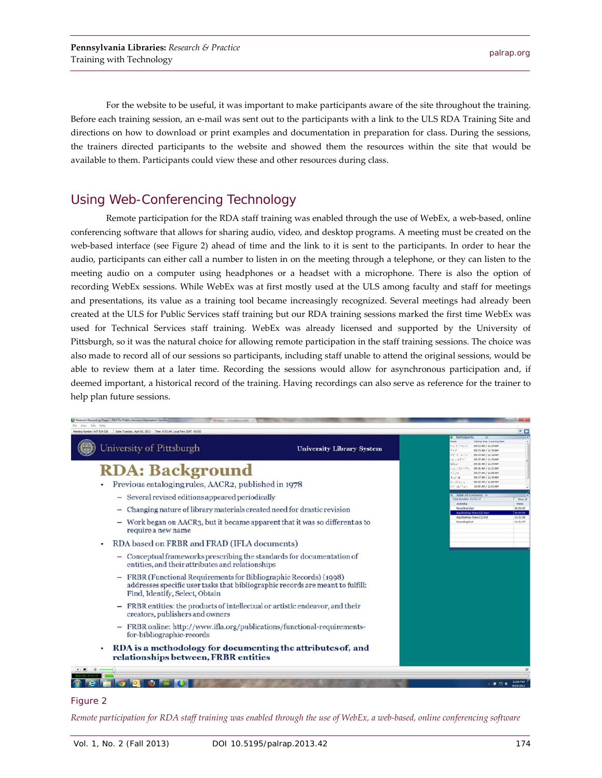For the website to be useful, it was important to make participants aware of the site throughout the training. Before each training session, an e-mail was sent out to the participants with a link to the ULS RDA Training Site and directions on how to download or print examples and documentation in preparation for class. During the sessions, the trainers directed participants to the website and showed them the resources within the site that would be available to them. Participants could view these and other resources during class.

# Using Web-Conferencing Technology

Remote participation for the RDA staff training was enabled through the use of WebEx, a web-based, online conferencing software that allows for sharing audio, video, and desktop programs. A meeting must be created on the web-based interface (see Figure 2) ahead of time and the link to it is sent to the participants. In order to hear the audio, participants can either call a number to listen in on the meeting through a telephone, or they can listen to the meeting audio on a computer using headphones or a headset with a microphone. There is also the option of recording WebEx sessions. While WebEx was at first mostly used at the ULS among faculty and staff for meetings and presentations, its value as a training tool became increasingly recognized. Several meetings had already been created at the ULS for Public Services staff training but our RDA training sessions marked the first time WebEx was used for Technical Services staff training. WebEx was already licensed and supported by the University of Pittsburgh, so it was the natural choice for allowing remote participation in the staff training sessions. The choice was also made to record all of our sessions so participants, including staff unable to attend the original sessions, would be able to review them at a later time. Recording the sessions would allow for asynchronous participation and, if deemed important, a historical record of the training. Having recordings can also serve as reference for the trainer to help plan future sessions.



#### Figure 2

*Remote participation for RDA staff training was enabled through the use of WebEx, a web-based, online conferencing software*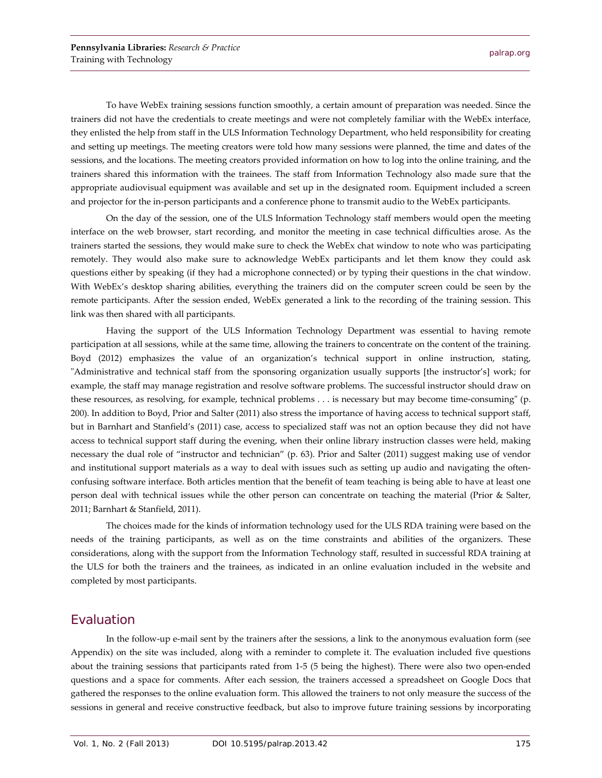To have WebEx training sessions function smoothly, a certain amount of preparation was needed. Since the trainers did not have the credentials to create meetings and were not completely familiar with the WebEx interface, they enlisted the help from staff in the ULS Information Technology Department, who held responsibility for creating and setting up meetings. The meeting creators were told how many sessions were planned, the time and dates of the sessions, and the locations. The meeting creators provided information on how to log into the online training, and the trainers shared this information with the trainees. The staff from Information Technology also made sure that the appropriate audiovisual equipment was available and set up in the designated room. Equipment included a screen and projector for the in-person participants and a conference phone to transmit audio to the WebEx participants.

On the day of the session, one of the ULS Information Technology staff members would open the meeting interface on the web browser, start recording, and monitor the meeting in case technical difficulties arose. As the trainers started the sessions, they would make sure to check the WebEx chat window to note who was participating remotely. They would also make sure to acknowledge WebEx participants and let them know they could ask questions either by speaking (if they had a microphone connected) or by typing their questions in the chat window. With WebEx's desktop sharing abilities, everything the trainers did on the computer screen could be seen by the remote participants. After the session ended, WebEx generated a link to the recording of the training session. This link was then shared with all participants.

Having the support of the ULS Information Technology Department was essential to having remote participation at all sessions, while at the same time, allowing the trainers to concentrate on the content of the training. Boyd (2012) emphasizes the value of an organization's technical support in online instruction, stating, "Administrative and technical staff from the sponsoring organization usually supports [the instructor's] work; for example, the staff may manage registration and resolve software problems. The successful instructor should draw on these resources, as resolving, for example, technical problems . . . is necessary but may become time-consuming" (p. 200). In addition to Boyd, Prior and Salter (2011) also stress the importance of having access to technical support staff, but in Barnhart and Stanfield's (2011) case, access to specialized staff was not an option because they did not have access to technical support staff during the evening, when their online library instruction classes were held, making necessary the dual role of "instructor and technician" (p. 63). Prior and Salter (2011) suggest making use of vendor and institutional support materials as a way to deal with issues such as setting up audio and navigating the oftenconfusing software interface. Both articles mention that the benefit of team teaching is being able to have at least one person deal with technical issues while the other person can concentrate on teaching the material (Prior & Salter, 2011; Barnhart & Stanfield, 2011).

The choices made for the kinds of information technology used for the ULS RDA training were based on the needs of the training participants, as well as on the time constraints and abilities of the organizers. These considerations, along with the support from the Information Technology staff, resulted in successful RDA training at the ULS for both the trainers and the trainees, as indicated in an online evaluation included in the website and completed by most participants.

## Evaluation

In the follow-up e-mail sent by the trainers after the sessions, a link to the anonymous evaluation form (see Appendix) on the site was included, along with a reminder to complete it. The evaluation included five questions about the training sessions that participants rated from 1-5 (5 being the highest). There were also two open-ended questions and a space for comments. After each session, the trainers accessed a spreadsheet on Google Docs that gathered the responses to the online evaluation form. This allowed the trainers to not only measure the success of the sessions in general and receive constructive feedback, but also to improve future training sessions by incorporating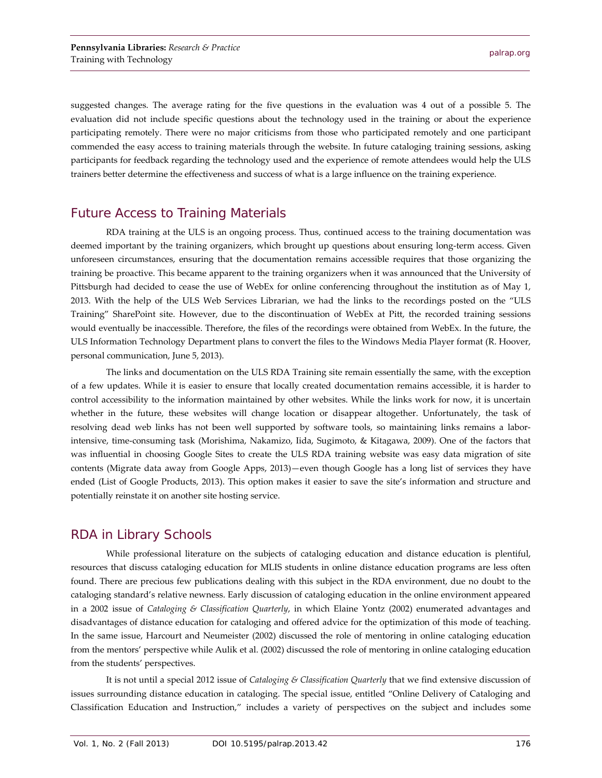suggested changes. The average rating for the five questions in the evaluation was 4 out of a possible 5. The evaluation did not include specific questions about the technology used in the training or about the experience participating remotely. There were no major criticisms from those who participated remotely and one participant commended the easy access to training materials through the website. In future cataloging training sessions, asking participants for feedback regarding the technology used and the experience of remote attendees would help the ULS trainers better determine the effectiveness and success of what is a large influence on the training experience.

## Future Access to Training Materials

RDA training at the ULS is an ongoing process. Thus, continued access to the training documentation was deemed important by the training organizers, which brought up questions about ensuring long-term access. Given unforeseen circumstances, ensuring that the documentation remains accessible requires that those organizing the training be proactive. This became apparent to the training organizers when it was announced that the University of Pittsburgh had decided to cease the use of WebEx for online conferencing throughout the institution as of May 1, 2013. With the help of the ULS Web Services Librarian, we had the links to the recordings posted on the "ULS Training" SharePoint site. However, due to the discontinuation of WebEx at Pitt, the recorded training sessions would eventually be inaccessible. Therefore, the files of the recordings were obtained from WebEx. In the future, the ULS Information Technology Department plans to convert the files to the Windows Media Player format (R. Hoover, personal communication, June 5, 2013).

The links and documentation on the ULS RDA Training site remain essentially the same, with the exception of a few updates. While it is easier to ensure that locally created documentation remains accessible, it is harder to control accessibility to the information maintained by other websites. While the links work for now, it is uncertain whether in the future, these websites will change location or disappear altogether. Unfortunately, the task of resolving dead web links has not been well supported by software tools, so maintaining links remains a laborintensive, time-consuming task (Morishima, Nakamizo, Iida, Sugimoto, & Kitagawa, 2009). One of the factors that was influential in choosing Google Sites to create the ULS RDA training website was easy data migration of site contents (Migrate data away from Google Apps, 2013)—even though Google has a long list of services they have ended (List of Google Products, 2013). This option makes it easier to save the site's information and structure and potentially reinstate it on another site hosting service.

# RDA in Library Schools

While professional literature on the subjects of cataloging education and distance education is plentiful, resources that discuss cataloging education for MLIS students in online distance education programs are less often found. There are precious few publications dealing with this subject in the RDA environment, due no doubt to the cataloging standard's relative newness. Early discussion of cataloging education in the online environment appeared in a 2002 issue of *Cataloging & Classification Quarterly*, in which Elaine Yontz (2002) enumerated advantages and disadvantages of distance education for cataloging and offered advice for the optimization of this mode of teaching. In the same issue, Harcourt and Neumeister (2002) discussed the role of mentoring in online cataloging education from the mentors' perspective while Aulik et al. (2002) discussed the role of mentoring in online cataloging education from the students' perspectives.

It is not until a special 2012 issue of *Cataloging & Classification Quarterly* that we find extensive discussion of issues surrounding distance education in cataloging. The special issue, entitled "Online Delivery of Cataloging and Classification Education and Instruction," includes a variety of perspectives on the subject and includes some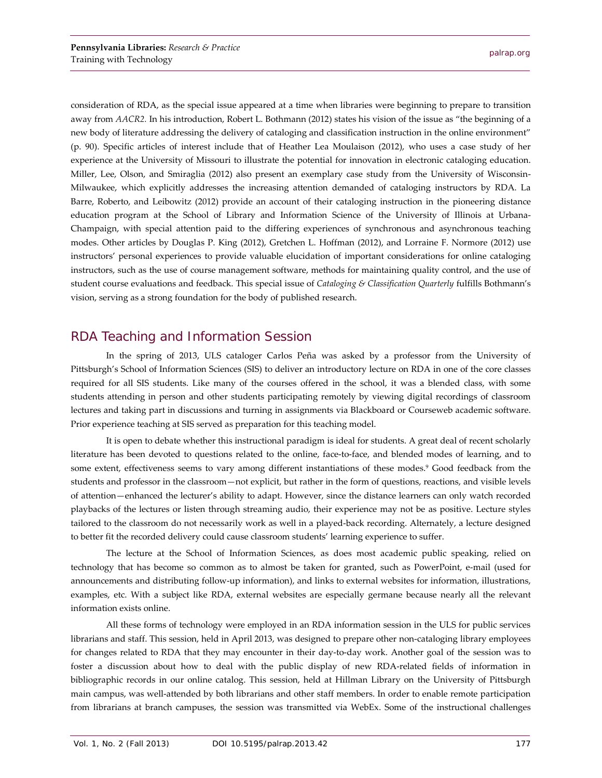consideration of RDA, as the special issue appeared at a time when libraries were beginning to prepare to transition away from *AACR2.* In his introduction, Robert L. Bothmann (2012) states his vision of the issue as "the beginning of a new body of literature addressing the delivery of cataloging and classification instruction in the online environment" (p. 90). Specific articles of interest include that of Heather Lea Moulaison (2012), who uses a case study of her experience at the University of Missouri to illustrate the potential for innovation in electronic cataloging education. Miller, Lee, Olson, and Smiraglia (2012) also present an exemplary case study from the University of Wisconsin-Milwaukee, which explicitly addresses the increasing attention demanded of cataloging instructors by RDA. La Barre, Roberto, and Leibowitz (2012) provide an account of their cataloging instruction in the pioneering distance education program at the School of Library and Information Science of the University of Illinois at Urbana-Champaign, with special attention paid to the differing experiences of synchronous and asynchronous teaching modes. Other articles by Douglas P. King (2012), Gretchen L. Hoffman (2012), and Lorraine F. Normore (2012) use instructors' personal experiences to provide valuable elucidation of important considerations for online cataloging instructors, such as the use of course management software, methods for maintaining quality control, and the use of student course evaluations and feedback. This special issue of *Cataloging & Classification Quarterly* fulfills Bothmann's vision, serving as a strong foundation for the body of published research.

# RDA Teaching and Information Session

In the spring of 2013, ULS cataloger Carlos Peña was asked by a professor from the University of Pittsburgh's School of Information Sciences (SIS) to deliver an introductory lecture on RDA in one of the core classes required for all SIS students. Like many of the courses offered in the school, it was a blended class, with some students attending in person and other students participating remotely by viewing digital recordings of classroom lectures and taking part in discussions and turning in assignments via Blackboard or Courseweb academic software. Prior experience teaching at SIS served as preparation for this teaching model.

It is open to debate whether this instructional paradigm is ideal for students. A great deal of recent scholarly literature has been devoted to questions related to the online, face-to-face, and blended modes of learning, and to some extent, effectiveness seems to vary among different instantiations of these modes.<sup>9</sup> Good feedback from the students and professor in the classroom—not explicit, but rather in the form of questions, reactions, and visible levels of attention—enhanced the lecturer's ability to adapt. However, since the distance learners can only watch recorded playbacks of the lectures or listen through streaming audio, their experience may not be as positive. Lecture styles tailored to the classroom do not necessarily work as well in a played-back recording. Alternately, a lecture designed to better fit the recorded delivery could cause classroom students' learning experience to suffer.

The lecture at the School of Information Sciences, as does most academic public speaking, relied on technology that has become so common as to almost be taken for granted, such as PowerPoint, e-mail (used for announcements and distributing follow-up information), and links to external websites for information, illustrations, examples, etc. With a subject like RDA, external websites are especially germane because nearly all the relevant information exists online.

All these forms of technology were employed in an RDA information session in the ULS for public services librarians and staff. This session, held in April 2013, was designed to prepare other non-cataloging library employees for changes related to RDA that they may encounter in their day-to-day work. Another goal of the session was to foster a discussion about how to deal with the public display of new RDA-related fields of information in bibliographic records in our online catalog. This session, held at Hillman Library on the University of Pittsburgh main campus, was well-attended by both librarians and other staff members. In order to enable remote participation from librarians at branch campuses, the session was transmitted via WebEx. Some of the instructional challenges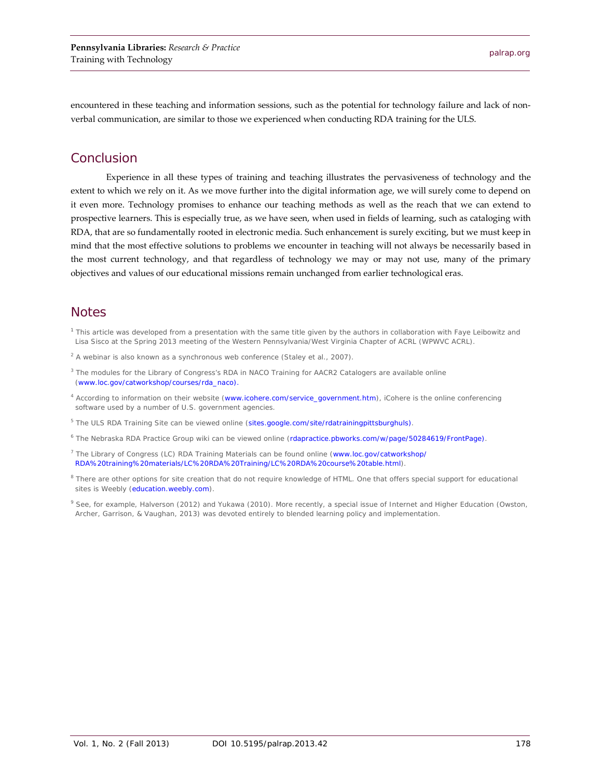encountered in these teaching and information sessions, such as the potential for technology failure and lack of nonverbal communication, are similar to those we experienced when conducting RDA training for the ULS.

### Conclusion

Experience in all these types of training and teaching illustrates the pervasiveness of technology and the extent to which we rely on it. As we move further into the digital information age, we will surely come to depend on it even more. Technology promises to enhance our teaching methods as well as the reach that we can extend to prospective learners. This is especially true, as we have seen, when used in fields of learning, such as cataloging with RDA, that are so fundamentally rooted in electronic media. Such enhancement is surely exciting, but we must keep in mind that the most effective solutions to problems we encounter in teaching will not always be necessarily based in the most current technology, and that regardless of technology we may or may not use, many of the primary objectives and values of our educational missions remain unchanged from earlier technological eras.

#### **Notes**

- <sup>1</sup> This article was developed from a presentation with the same title given by the authors in collaboration with Faye Leibowitz and Lisa Sisco at the Spring 2013 meeting of the Western Pennsylvania/West Virginia Chapter of ACRL (WPWVC ACRL).
- <sup>2</sup> A webinar is also known as a synchronous web conference (Staley et al., 2007).
- <sup>3</sup> The modules for the Library of Congress's *RDA in NACO Training for AACR2 Catalogers* are available online (www.loc.gov/catworkshop/courses/rda\_naco).
- <sup>4</sup> According to information on their website [\(www.icohere.com/service\\_government.htm\)](http://www.icohere.com/service_government.htm), iCohere is the online conferencing software used by a number of U.S. government agencies.
- <sup>5</sup> The *ULS RDA Training Site* can be viewed online [\(sites.google.com/site/rdatrainingpittsburghuls\)](https://sites.google.com/site/rdatrainingpittsburghuls/).
- <sup>6</sup> The Nebraska RDA Practice Group wiki can be viewed online [\(rdapractice.pbworks.com/w/page/50284619/FrontPage\)](http://rdapractice.pbworks.com/w/page/50284619/FrontPage).
- <sup>7</sup> The Library of Congress (LC) RDA Training Materials can be found online [\(www.loc.gov/catworkshop/](http://www.loc.gov/catworkshop/RDA%20training%20materials/LC%20RDA%20Training/LC%20RDA%20course%20table.html) [RDA%20training%20materials/LC%20RDA%20Training/LC%20RDA%20course%20table.html\)](http://www.loc.gov/catworkshop/RDA%20training%20materials/LC%20RDA%20Training/LC%20RDA%20course%20table.html).
- <sup>8</sup> There are other options for site creation that do not require knowledge of HTML. One that offers special support for educational sites is Weebly [\(education.weebly.com\)](http://education.weebly.com/).
- <sup>9</sup> See, for example, Halverson (2012) and Yukawa (2010). More recently, a special issue of *Internet and Higher Education* (Owston, Archer, Garrison, & Vaughan, 2013) was devoted entirely to blended learning policy and implementation.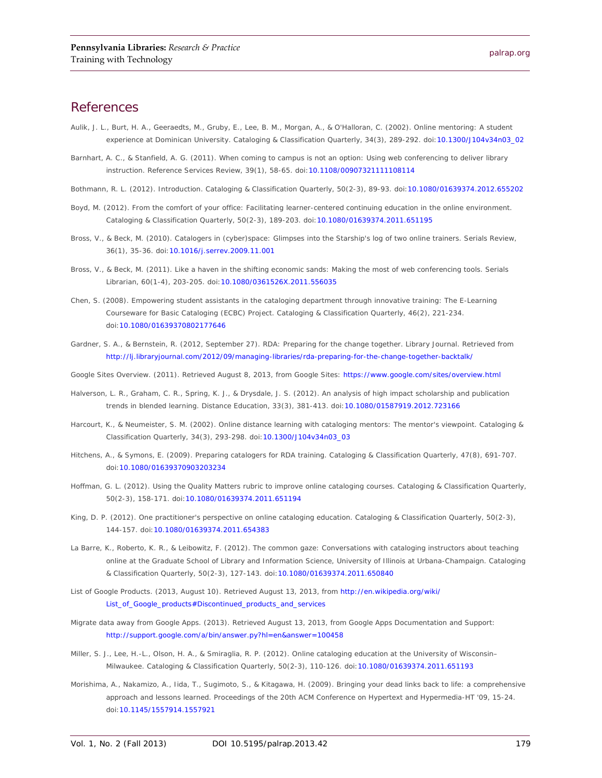#### **References**

- Aulik, J. L., Burt, H. A., Geeraedts, M., Gruby, E., Lee, B. M., Morgan, A., & O'Halloran, C. (2002). Online mentoring: A student experience at Dominican University. *Cataloging & Classification Quarterly, 34*(3), 289-292. doi[:10.1300/J104v34n03\\_02](http://dx.doi.org/10.1300/J104v34n03_02)
- Barnhart, A. C., & Stanfield, A. G. (2011). When coming to campus is not an option: Using web conferencing to deliver library instruction. *Reference Services Review, 39*(1), 58-65. doi[:10.1108/00907321111108114](http://dx.doi.org/10.1108/00907321111108114)
- Bothmann, R. L. (2012). Introduction. *Cataloging & Classification Quarterly, 50*(2-3), 89-93. doi[:10.1080/01639374.2012.655202](http://dx.doi.org/10.1080/01639374.2012.655202)
- Boyd, M. (2012). From the comfort of your office: Facilitating learner-centered continuing education in the online environment. *Cataloging & Classification Quarterly, 50*(2-3), 189-203. doi[:10.1080/01639374.2011.651195](http://dx.doi.org/10.1080/01639374.2011.651195)
- Bross, V., & Beck, M. (2010). Catalogers in (cyber)space: Glimpses into the Starship's log of two online trainers. *Serials Review, 36*(1), 35-36. doi[:10.1016/j.serrev.2009.11.001](http://dx.doi.org/10.1016/j.serrev.2009.11.001)
- Bross, V., & Beck, M. (2011). Like a haven in the shifting economic sands: Making the most of web conferencing tools. *Serials Librarian, 60*(1-4), 203-205. doi[:10.1080/0361526X.2011.556035](http://dx.doi.org/10.1080/0361526X.2011.556035)
- Chen, S. (2008). Empowering student assistants in the cataloging department through innovative training: The E-Learning Courseware for Basic Cataloging (ECBC) Project. *Cataloging & Classification Quarterly, 46*(2), 221-234. doi[:10.1080/01639370802177646](http://dx.doi.org/10.1080/01639370802177646)
- Gardner, S. A., & Bernstein, R. (2012, September 27). RDA: Preparing for the change together. *Library Journal*. Retrieved from <http://lj.libraryjournal.com/2012/09/managing-libraries/rda-preparing-for-the-change-together-backtalk/>

*Google Sites Overview*. (2011). Retrieved August 8, 2013, from Google Sites:<https://www.google.com/sites/overview.html>

- Halverson, L. R., Graham, C. R., Spring, K. J., & Drysdale, J. S. (2012). An analysis of high impact scholarship and publication trends in blended learning. *Distance Education, 33*(3), 381-413. doi[:10.1080/01587919.2012.723166](http://dx.doi.org/10.1080/01587919.2012.723166)
- Harcourt, K., & Neumeister, S. M. (2002). Online distance learning with cataloging mentors: The mentor's viewpoint. *Cataloging & Classification Quarterly, 34*(3), 293-298. doi[:10.1300/J104v34n03\\_03](http://dx.doi.org/10.1300/J104v34n03_03)
- Hitchens, A., & Symons, E. (2009). Preparing catalogers for RDA training. *Cataloging & Classification Quarterly, 47*(8), 691-707. doi[:10.1080/01639370903203234](http://dx.doi.org/10.1080/01639370903203234)
- Hoffman, G. L. (2012). Using the Quality Matters rubric to improve online cataloging courses. *Cataloging & Classification Quarterly, 50*(2-3), 158-171. doi[:10.1080/01639374.2011.651194](http://dx.doi.org/10.1080/01639374.2011.651194)
- King, D. P. (2012). One practitioner's perspective on online cataloging education. *Cataloging & Classification Quarterly, 50*(2-3), 144-157. doi[:10.1080/01639374.2011.654383](http://dx.doi.org/10.1080/01639374.2011.654383)
- La Barre, K., Roberto, K. R., & Leibowitz, F. (2012). The common gaze: Conversations with cataloging instructors about teaching online at the Graduate School of Library and Information Science, University of Illinois at Urbana-Champaign. *Cataloging & Classification Quarterly, 50*(2-3), 127-143. doi[:10.1080/01639374.2011.650840](http://dx.doi.org/10.1080/01639374.2011.650840)
- *List of Google Products*. (2013, August 10). Retrieved August 13, 2013, from [http://en.wikipedia.org/wiki/](http://en.wikipedia.org/wiki/List_of_Google_products#Discontinued_products_and_services) [List\\_of\\_Google\\_products#Discontinued\\_products\\_and\\_services](http://en.wikipedia.org/wiki/List_of_Google_products#Discontinued_products_and_services)
- *Migrate data away from Google Apps*. (2013). Retrieved August 13, 2013, from Google Apps Documentation and Support: <http://support.google.com/a/bin/answer.py?hl=en&answer=100458>
- Miller, S. J., Lee, H.-L., Olson, H. A., & Smiraglia, R. P. (2012). Online cataloging education at the University of Wisconsin– Milwaukee. *Cataloging & Classification Quarterly, 50*(2-3), 110-126. doi[:10.1080/01639374.2011.651193](http://dx.doi.org/10.1080/01639374.2011.651193)
- Morishima, A., Nakamizo, A., Iida, T., Sugimoto, S., & Kitagawa, H. (2009). Bringing your dead links back to life: a comprehensive approach and lessons learned. *Proceedings of the 20th ACM Conference on Hypertext and Hypermedia-HT '09*, 15-24. doi[:10.1145/1557914.1557921](http://dx.doi.org/10.1145/1557914.1557921)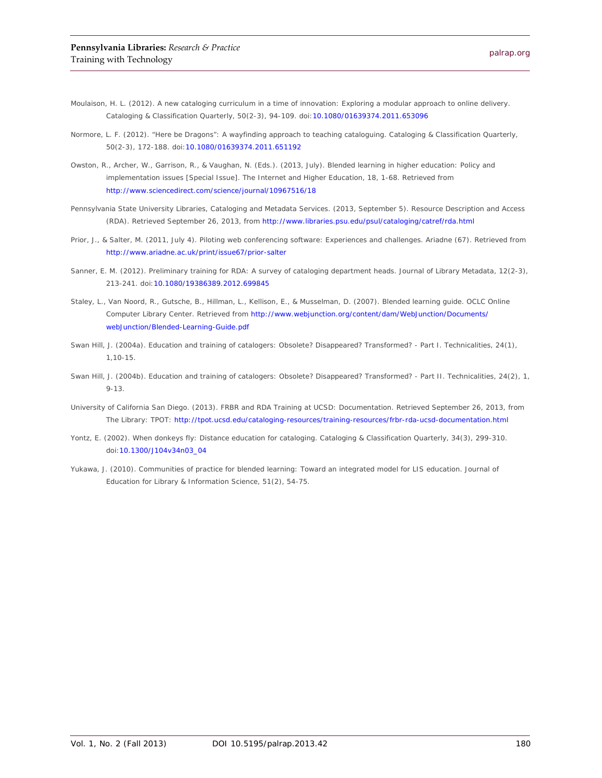- Moulaison, H. L. (2012). A new cataloging curriculum in a time of innovation: Exploring a modular approach to online delivery. *Cataloging & Classification Quarterly, 50*(2-3), 94-109. doi[:10.1080/01639374.2011.653096](http://dx.doi.org/10.1080/01639374.2011.653096)
- Normore, L. F. (2012). "Here be Dragons": A wayfinding approach to teaching cataloguing. *Cataloging & Classification Quarterly, 50*(2-3), 172-188. doi[:10.1080/01639374.2011.651192](http://dx.doi.org/10.1080/01639374.2011.651192)
- Owston, R., Archer, W., Garrison, R., & Vaughan, N. (Eds.). (2013, July). Blended learning in higher education: Policy and implementation issues [Special Issue]. *The Internet and Higher Education, 18*, 1-68. Retrieved from <http://www.sciencedirect.com/science/journal/10967516/18>
- Pennsylvania State University Libraries, Cataloging and Metadata Services. (2013, September 5). *Resource Description and Access (RDA)*. Retrieved September 26, 2013, from<http://www.libraries.psu.edu/psul/cataloging/catref/rda.html>
- Prior, J., & Salter, M. (2011, July 4). Piloting web conferencing software: Experiences and challenges. *Ariadne* (67). Retrieved from <http://www.ariadne.ac.uk/print/issue67/prior-salter>
- Sanner, E. M. (2012). Preliminary training for RDA: A survey of cataloging department heads. *Journal of Library Metadata, 12*(2-3), 213-241. doi[:10.1080/19386389.2012.699845](http://dx.doi.org/10.1080/19386389.2012.699845)
- Staley, L., Van Noord, R., Gutsche, B., Hillman, L., Kellison, E., & Musselman, D. (2007). *Blended learning guide*. OCLC Online Computer Library Center. Retrieved from [http://www.webjunction.org/content/dam/WebJunction/Documents/](http://www.webjunction.org/content/dam/WebJunction/Documents/webJunction/Blended-Learning-Guide.pdf) [webJunction/Blended-Learning-Guide.pdf](http://www.webjunction.org/content/dam/WebJunction/Documents/webJunction/Blended-Learning-Guide.pdf)
- Swan Hill, J. (2004a). Education and training of catalogers: Obsolete? Disappeared? Transformed? Part I. *Technicalities, 24*(1), 1,10-15.
- Swan Hill, J. (2004b). Education and training of catalogers: Obsolete? Disappeared? Transformed? Part II. *Technicalities, 24*(2), 1, 9-13.
- University of California San Diego. (2013). *FRBR and RDA Training at UCSD: Documentation*. Retrieved September 26, 2013, from The Library: TPOT:<http://tpot.ucsd.edu/cataloging-resources/training-resources/frbr-rda-ucsd-documentation.html>
- Yontz, E. (2002). When donkeys fly: Distance education for cataloging. *Cataloging & Classification Quarterly, 34*(3), 299-310. doi[:10.1300/J104v34n03\\_04](http://dx.doi.org/10.1300/J104v34n03_04)
- Yukawa, J. (2010). Communities of practice for blended learning: Toward an integrated model for LIS education. *Journal of Education for Library & Information Science, 51*(2), 54-75.